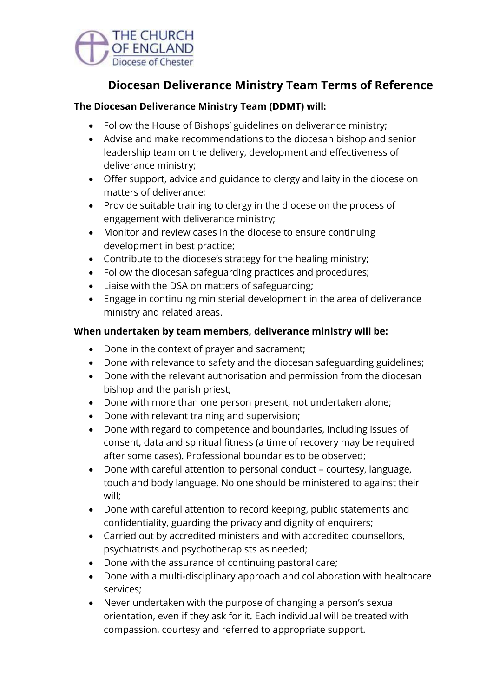

# **Diocesan Deliverance Ministry Team Terms of Reference**

## **The Diocesan Deliverance Ministry Team (DDMT) will:**

- Follow the House of Bishops' guidelines on deliverance ministry;
- Advise and make recommendations to the diocesan bishop and senior leadership team on the delivery, development and effectiveness of deliverance ministry;
- Offer support, advice and guidance to clergy and laity in the diocese on matters of deliverance;
- Provide suitable training to clergy in the diocese on the process of engagement with deliverance ministry;
- Monitor and review cases in the diocese to ensure continuing development in best practice;
- Contribute to the diocese's strategy for the healing ministry;
- Follow the diocesan safeguarding practices and procedures;
- Liaise with the DSA on matters of safeguarding;
- Engage in continuing ministerial development in the area of deliverance ministry and related areas.

## **When undertaken by team members, deliverance ministry will be:**

- Done in the context of prayer and sacrament;
- Done with relevance to safety and the diocesan safeguarding guidelines;
- Done with the relevant authorisation and permission from the diocesan bishop and the parish priest;
- Done with more than one person present, not undertaken alone;
- Done with relevant training and supervision;
- Done with regard to competence and boundaries, including issues of consent, data and spiritual fitness (a time of recovery may be required after some cases). Professional boundaries to be observed;
- Done with careful attention to personal conduct courtesy, language, touch and body language. No one should be ministered to against their will;
- Done with careful attention to record keeping, public statements and confidentiality, guarding the privacy and dignity of enquirers;
- Carried out by accredited ministers and with accredited counsellors, psychiatrists and psychotherapists as needed;
- Done with the assurance of continuing pastoral care;
- Done with a multi-disciplinary approach and collaboration with healthcare services;
- Never undertaken with the purpose of changing a person's sexual orientation, even if they ask for it. Each individual will be treated with compassion, courtesy and referred to appropriate support.